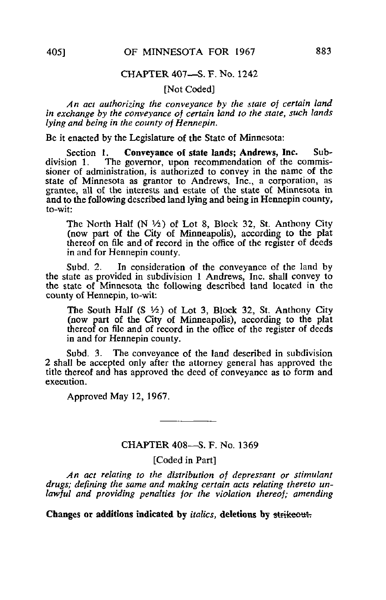## CHAPTER 407—S. F. No. 1242

# [Not Coded]

An act authorizing the conveyance by the state of certain land in exchange by the conveyance of certain land to the state, such lands lying and being in the county of Hennepin.

Be it enacted by the Legislature of the State of Minnesota:

Section 1. Conveyance of state lands; Andrews, Inc. Sub-<br>division 1. The governor, upon recommendation of the commis-The governor, upon recommendation of the commissioner of administration, is authorized to convey in the name of the state of Minnesota as grantor to Andrews, Inc., a corporation, as grantee, all of the interests and estate of the state of Minnesota in and to the following described land lying and being in Hennepin county, to-wit:

The North Half  $(N \frac{1}{2})$  of Lot 8, Block 32, St. Anthony City (now part of the City of Minneapolis), according to the plat thereof on file and of record in the office of the register of deeds in and for Hennepin county.

Subd. 2. In consideration of the conveyance of the land by the state as provided in subdivision 1 Andrews, Inc. shall convey to the state of Minnesota the following described land located in the county of Hennepin, to-wit:

The South Half  $(S \nmid Z)$  of Lot 3, Block 32, St. Anthony City (now part of the City of Minneapolis), according to the plat thereof on file and of record in the office of the register of deeds in and for Hennepin county.

Subd. 3. The conveyance of the land described in subdivision 2 shall be accepted only after the attorney general has approved the title thereof and has approved the deed of conveyance as to form and execution.

Approved May 12, 1967.

#### CHAPTER 408—S. F. No. 1369

### [Coded in Part]

An act relating to the distribution of depressant or stimulant drugs; defining the same and making certain acts relating thereto unlawful and providing penalties for the violation thereof; amending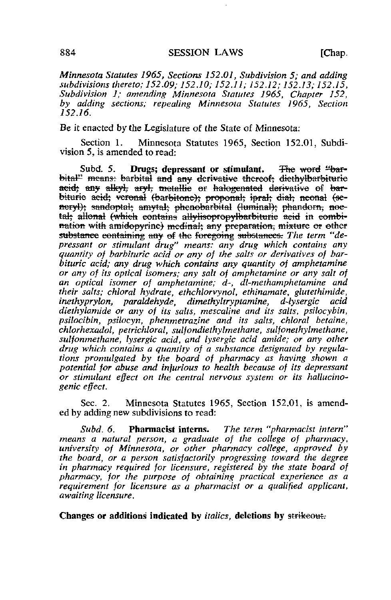[Chap.

Minnesota Statutes 1965, Sections 152.01, Subdivision 5; and adding subdivisions thereto; 152.09; 152.10; 152.11; 152.12; 152.13; 152.15, Subdivision 1: amending Minnesota Statutes 1965, Chapter 152, by adding sections; repealing Minnesota Statutes 1965, Section  $152.16.$ 

Be it enacted by the Legislature of the State of Minnesota:

Section 1. Minnesota Statutes 1965, Section 152.01, Subdivision 5, is amended to read:

Subd.  $5.$ Drugs; depressant or stimulant. The word "barbital" means: barbital and any derivative thereof; diethylbarbiturie acid; any alkyl, aryl, metallie or halogenated derivative of barbiturie acid; veronal (barbitone); proponal; ipral; dial; neonal (seneryl); sandoptal; amytal; phenobarbital (luminal); phandorn, noetal, allonal (which contains allylisopropylbarbituric acid in combination with amidopyrine) medinal; any preparation, mixture or other substance containing any of the foregoing substances. The term "depressant or stimulant drug" means: any drug which contains any quantity of barbituric acid or any of the salts or derivatives of barbituric acid; any drug which contains any quantity of amphetamine or any of its optical isomers; any salt of amphetamine or any salt of an optical isomer of amphetamine; d-, dl-methamphetamine and their salts; chloral hydrate, ethchlorvynol, ethinamate, glutethimide, paraldehyde, dimethyltryptamine. inethvorvlon. d-lysergic acid diethylamide or any of its salts, mescaline and its salts, psilocybin, psilocibin, psilocyn, phenmetrazine and its salts, chloral betaine, chlorhexadol, petrichloral, sulfondiethylmethane, sulfonethylmethane, sulfonmethane, lysergic acid, and lysergic acid amide; or any other drug which contains a quantity of a substance designated by regulations promulgated by the board of pharmacy as having shown a potential for abuse and injurious to health because of its depressant or stimulant effect on the central nervous system or its hallucinogenic effect.

Sec.  $2$ . Minnesota Statutes 1965, Section 152.01, is amended by adding new subdivisions to read:

Pharmacist interns. The term "pharmacist intern"  $Subd.6.$ means a natural person, a graduate of the college of pharmacy. university of Minnesota, or other pharmacy college, approved by the board, or a person satisfactorily progressing toward the degree in pharmacy required for licensure, registered by the state board of pharmacy, for the purpose of obtaining practical experience as a requirement for licensure as a pharmacist or a qualified applicant, awaiting licensure.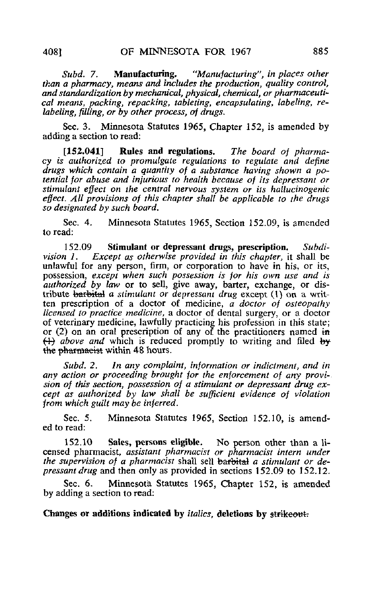Subd. 7. **Manufacturing.** "Manufacturing", in places other than a pharmacy, means and includes the production, quality control, and standardization by mechanical, physical, chemical, or pharmaceutical means, packing, repacking, tableting, encapsulating, labeling, relabeling, filling, or by other process, of drugs.

Sec. 3. Minnesota Statutes 1965, Chapter 152, is amended by adding a section to read:

[152.041] Rules and regulations. The board of pharmacy is authorized to promulgate regulations to regulate and define drugs which contain a quantity of a substance having shown a potential for abuse and injurious to health because of its depressant or stimulant effect on the central nervous system or its hallucinogenic effect. All provisions of this chapter shall be applicable to the drugs so designated by such board.

Sec. 4. Minnesota Statutes 1965, Section 152.09, is amended to read:

152.09 Stimulant or depressant drugs, prescription. Subdi-<br>vision 1. Except as otherwise provided in this chapter, it shall be Except as otherwise provided in this chapter, it shall be unlawful for any person, firm, or corporation to have in his, or its, possession, except when such possession is for his own use and is authorized by law or to sell, give away, barter, exchange, or distribute barbital a stimulant or depressant drug except (1) on a written prescription of a doctor of medicine,  $\overline{a}$  doctor of osteopathy licensed to practice medicine, a doctor of dental surgery, or a doctor of veterinary medicine, lawfully practicing his profession in this state; or  $(2)$  on an oral prescription of any of the practitioners named in  $\leftrightarrow$  *above and* which is reduced promptly to writing and filed by the pharmacist within 48 hours.

Subd. 2. In any complaint, information or indictment, and in any action or proceeding brought for the enforcement of any provision of this section, possession of a stimulant or depressant drug except as authorized by law shall be sufficient evidence of violation from which guilt may be inferred.

Sec. 5. Minnesota Statutes 1965, Section 152.10, is amended to read:

152.10 Sales, persons eligible. No person other than a licensed pharmacist, assistant pharmacist or pharmacist intern under the supervision of a pharmacist shall sell barbital a stimulant or depressant drug and then only as provided in sections 152.09 to 152.12.

Sec. 6. Minnesota Statutes 1965, Chapter 152, is amended by adding a section to read: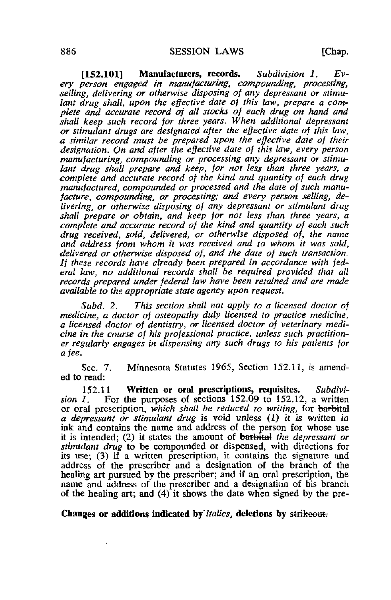$[152.101]$  Manufacturers, records. Subdivision 1. Every person engaged in manufacturing, compounding, processing, selling, delivering or otherwise disposing of any depressant or stimulant drug shall, upon the effective date of this law, prepare a complete and accurate record of all stocks of each drug on hand and shall keep such record for three years. When additional depressant or stimulant drugs are designated after the effective date of this law, a similar record must be prepared upon the effective date of their designation. On and after the effective date of this law, every person manufacturing, compounding or processing any depressant or stimulant drug shall prepare and keep, for not less than three years, a complete and accurate record of the kind and quantity of each drug manufactured, compounded or processed and the date of such manufacture, compounding, or processing; and every person selling, delivering, or otherwise disposing of any depressant or stimulant drug shall prepare or obtain, and keep for not less than three years, a complete and accurate record of the kind and quantity of each such drug received, sold, delivered, or otherwise disposed of, the name and address from whom it was received and to whom it was sold, delivered or otherwise disposed of, and the date of such transaction. If these records have already been prepared in accordance with federal law, no additional records shall be required provided that all records prepared under federal law have been retained and are made available to the appropriate state agency upon request.

Subd. 2. This section shall not apply to a licensed doctor of medicine, a doctor of osteopathy duly licensed to practice medicine, a licensed doctor of dentistry, or licensed doctor of veterinary medicine in the course of his professional practice, unless such practitioner regularly engages in dispensing any such drugs to his patients for a fee.

Sec. 7. Minnesota Statutes 1965, Section 152.11, is amended to read:

152.11 Written or oral prescriptions, requisites. Subdivision 1. For the purposes of sections  $152.09$  to  $152.12$ , a written or oral prescription, which shall be reduced to writing, for barbital a depressant or stimulant drug is void unless (1) it is written in ink and contains the name and address of the person for whose use it is intended; (2) it states the amount of  $barbind$  the depressant or stimulant drug to be compounded or dispensed, with directions for its use; (3) if a written prescription, it contains the signature and address of the prescriber and a designation of the branch of the healing art pursued by the prescriber; and if an oral prescription, the name and address of the prescriber and a designation of his branch of the healing art; and (4) it shows the date when signed by the pre-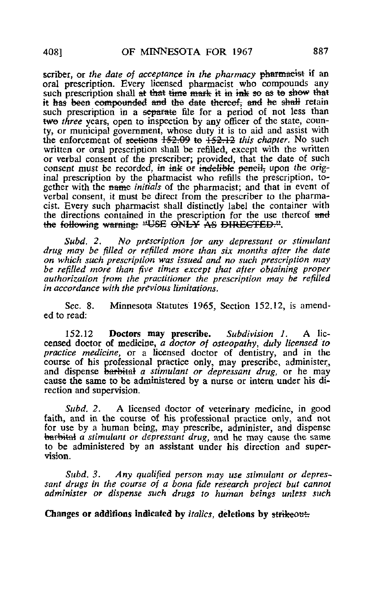scriber, or the date of acceptance in the pharmacy <del>pharmacist</del> if an oral prescription. Every licensed pharmacist who compounds any such prescription shall at that time mark it in ink so as to show that it has been compounded and the date thereof, and he shall retain such prescription in a separate file for a period of not less than two three years, open to inspection by any officer of the state, county, or municipal government, whose duty it is to aid and assist with the enforcement of sections  $152.09$  to  $152.12$  this chapter. No such written or oral prescription shall be refilled, except with the written or verbal consent of the prescriber; provided, that the date of such consent must be recorded, in ink or indelible penetic upon the original prescription by the pharmacist who refills the prescription, together with the name *initials* of the pharmacist; and that in event of verbal consent, it must be direct from the prescriber to the pharmacist. Every such pharmacist shall distinctly label the container with the directions contained in the prescription for the use thereof and the following warning: "USE ONLY AS DIRECTED.".

Subd. 2. No prescription for any depressant or stimulant drug may be filled or refilled more than six months after the date on which such prescription was issued and no such prescription may be refilled more than five times except that after obtaining proper authorization from the practitioner the prescription may be refilled in accordance with the previous limitations.

Sec. 8. Minnesota Statutes 1965, Section 152.12, is amended to read:

152.12 Doctors may prescribe. Subdivision 1. A liccensed doctor of medicine, a doctor of osteopathy, duly licensed to practice medicine, or a licensed doctor of dentistry, and in the course of his professional practice only, may prescribe, administer, and dispense barbital a stimulant or depressant drug, or he may cause the same to be administered by a nurse or intern under his direction and supervision.

Subd. 2. A licensed doctor of veterinary medicine, in good faith, and in the course of his professional practice only, and not for use by a human being, may prescribe, administer, and dispense barbital a stimulant or depressant drug, and he may cause the same to be administered by an assistant under his direction and supervision.

Subd. 3. Any qualified person may use stimulant or depressant drugs in the course of a bona fide research project but cannot administer or dispense such drugs to human beings unless such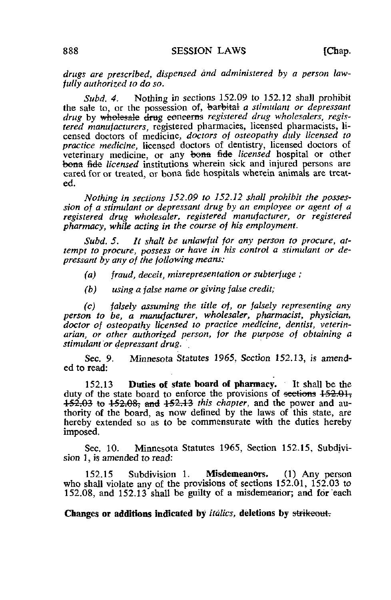drugs are prescribed, dispensed and administered by a person lawfully authorized to do so.

Subd, 4. Nothing in sections  $152.09$  to  $152.12$  shall prohibit the sale to, or the possession of, barbital a stimulant or depressant drug by wholesale drug concerns registered drug wholesalers, registered manufacturers, registered pharmacies, licensed pharmacists, licensed doctors of medicine, doctors of osteopathy duly licensed to practice medicine, licensed doctors of dentistry, licensed doctors of veterinary medicine, or any bona fide licensed hospital or other bona fide *licensed* institutions wherein sick and injured persons are cared for or treated, or bona fide hospitals wherein animals are treated.

Nothing in sections 152.09 to 152.12 shall prohibit the possession of a stimulant or depressant drug by an employee or agent of a registered drug wholesaler, registered manufacturer, or registered pharmacy, while acting in the course of his employment.

Subd. 5. It shall be unlawful for any person to procure, attempt to procure, possess or have in his control a stimulant or depressant by any of the following means:

- $(a)$  fraud, deceit, misrepresentation or subterfuge;
- (b) using a false name or giving false credit;

(c) falsely assuming the title of, or falsely representing any person to be, a manufacturer, wholesaler, pharmacist, physician, doctor of osteopathy licensed to practice medicine, dentist, veterinarian, or other authorized person, for the purpose of obtaining a stimulant or depressant drug.

Sec. 9. Minnesota Statutes 1965, Section 152.13, is amended to read:

152.13 Duties of state board of pharmacy. It shall be the duty of the state board to enforce the provisions of sections  $152.01$ .  $152.03$  to  $152.08$ ; and  $152.13$  this chapter, and the power and authority of the board, as now denned by the laws of this state, are hereby extended so as to be commensurate with the duties hereby imposed.

Sec. 10. Minnesota Statutes 1965, Section 152.15, Subdivision 1, is amended to read:

152.15 Subdivision 1. Misdemeanors. (1) Any person who shall violate any of the provisions of sections 152.01, 152.03 to 152.08, and 152.13 shall be guilty of a misdemeanor; and for each